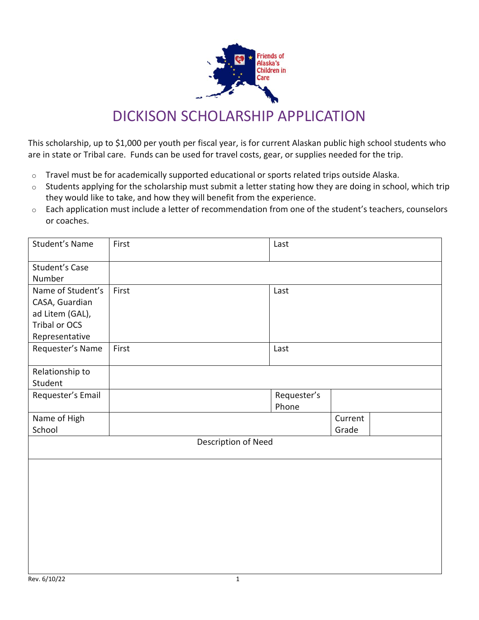

## DICKISON SCHOLARSHIP APPLICATION

This scholarship, up to \$1,000 per youth per fiscal year, is for current Alaskan public high school students who are in state or Tribal care. Funds can be used for travel costs, gear, or supplies needed for the trip.

- o Travel must be for academically supported educational or sports related trips outside Alaska.
- o Students applying for the scholarship must submit a letter stating how they are doing in school, which trip they would like to take, and how they will benefit from the experience.
- $\circ$  Each application must include a letter of recommendation from one of the student's teachers, counselors or coaches.

| Student's Name        | First | Last        |         |  |  |  |  |
|-----------------------|-------|-------------|---------|--|--|--|--|
| <b>Student's Case</b> |       |             |         |  |  |  |  |
| Number                |       |             |         |  |  |  |  |
| Name of Student's     | First | Last        |         |  |  |  |  |
| CASA, Guardian        |       |             |         |  |  |  |  |
| ad Litem (GAL),       |       |             |         |  |  |  |  |
| Tribal or OCS         |       |             |         |  |  |  |  |
| Representative        |       |             |         |  |  |  |  |
| Requester's Name      | First | Last        |         |  |  |  |  |
| Relationship to       |       |             |         |  |  |  |  |
| Student               |       |             |         |  |  |  |  |
| Requester's Email     |       | Requester's |         |  |  |  |  |
|                       |       | Phone       |         |  |  |  |  |
| Name of High          |       |             | Current |  |  |  |  |
| School                |       |             | Grade   |  |  |  |  |
| Description of Need   |       |             |         |  |  |  |  |
|                       |       |             |         |  |  |  |  |
|                       |       |             |         |  |  |  |  |
|                       |       |             |         |  |  |  |  |
|                       |       |             |         |  |  |  |  |
|                       |       |             |         |  |  |  |  |
|                       |       |             |         |  |  |  |  |
|                       |       |             |         |  |  |  |  |
|                       |       |             |         |  |  |  |  |
|                       |       |             |         |  |  |  |  |
|                       |       |             |         |  |  |  |  |